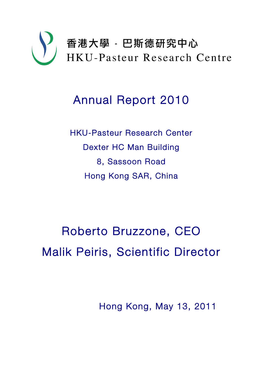

# Annual Report 2010

HKU-Pasteur Research Center Dexter HC Man Building 8, Sassoon Road Hong Kong SAR, China

Roberto Bruzzone, CEO Malik Peiris, Scientific Director

Hong Kong, May 13, 2011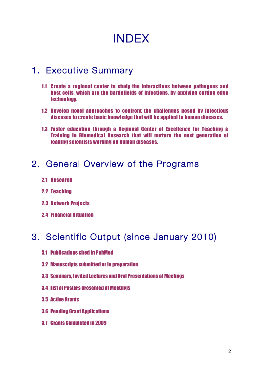# INDEX

# 1. Executive Summary

- 1.1 Create a regional center to study the interactions between pathogens and host cells, which are the battlefields of infections, by applying cutting edge technology.
- 1.2 Develop novel approaches to confront the challenges posed by infectious diseases to create basic knowledge that will be applied to human diseases.
- 1.3 Foster education through a Regional Center of Excellence for Teaching & Training in Biomedical Research that will nurture the next generation of leading scientists working on human diseases.

# 2. General Overview of the Programs

- 2.1 Research
- 2.2 Teaching
- 2.3 Network Projects
- 2.4 Financial Situation

# 3. Scientific Output (since January 2010)

- 3.1 Publications cited in PubMed
- 3.2 Manuscripts submitted or in preparation
- 3.3 Seminars, Invited Lectures and Oral Presentations at Meetings
- 3.4 List of Posters presented at Meetings
- 3.5 Active Grants
- 3.6 Pending Grant Applications
- 3.7 Grants Completed in 2009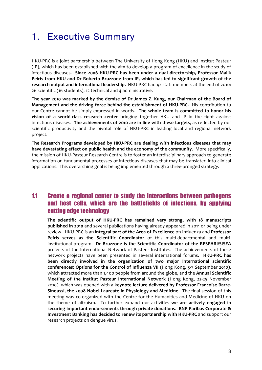# 1. Executive Summary

HKU-PRC is a joint partnership between The University of Hong Kong (HKU) and Institut Pasteur (IP), which has been established with the aim to develop a program of excellence in the study of infectious diseases. Since 2006 HKU-PRC has been under a dual directorship, Professor Malik Peiris from HKU and Dr Roberto Bruzzone from IP, which has led to significant growth of the research output and international leadership. HKU-PRC had 42 staff members at the end of 2010: 26 scientific (16 students), 12 technical and 4 administrative.

The year 2010 was marked by the demise of Dr James Z. Kung, our Chairman of the Board of **Management and the driving force behind the establishment of HKU-PRC.** His contribution to our Centre cannot be simply expressed in words. The whole team is committed to honor his **vision of a world-class research center** bringing together HKU and IP in the fight against infectious diseases. The achievements of 2010 are in line with these targets, as reflected by our scientific productivity and the pivotal role of HKU-PRC in leading local and regional network project.

The Research Programs developed by HKU-PRC are dealing with infectious diseases that may have devastating effect on public health and the economy of the community. More specifically, the mission of HKU-Pasteur Research Centre is to foster an interdisciplinary approach to generate information on fundamental processes of infectious diseases that may be translated into clinical applications. This overarching goal is being implemented through a three-pronged strategy.

# 1.1 Create a regional center to study the interactions between pathogens and host cells, which are the battlefields of infections, by applying cutting edge technology

The scientific output of HKU-PRC has remained very strong, with 18 manuscripts **published in 2010** and several publications having already appeared in 2011 or being under review. HKU-PRC is an integral part of the Area of Excellence on Influenza and Professor **Peiris serves as the Scientific Coordinator** of this multi-departmental and multiinstitutional program. Dr Bruzzone is the Scientific Coordinator of the RESPARI/SISEA projects of the International Network of Pasteur Institutes. The achievements of these network projects have been presented in several international forums. **HKU-PRC has** been directly involved in the organization of two major international scientific **conferences:** Options for the Control of Influenza VII (Hong Kong, 3-7 September 2010), which attracted more than 1,400 people from around the globe, and the **Annual Scientific Meeting of the Institut Pasteur International Network** (Hong Kong, 22-25 November 2010), which was opened with a keynote lecture delivered by Professor Francoise Barre-**Sinoussi, the 2008 Nobel Laureate in Physiology and Medicine.** The final session of this meeting was co-organized with the Centre for the Humanities and Medicine of HKU on the theme of altruism. To further expand our activities we are actively engaged in **securing important endorsements through private donations. BNP Paribas Corporate & Investment Banking has decided to renew its partnership with HKU-PRC** and support our research projects on dengue virus.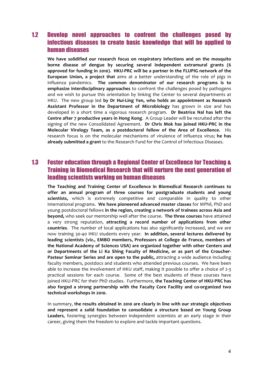## 1.2 Develop novel approaches to confront the challenges posed by infectious diseases to create basic knowledge that will be applied to human diseases

We have solidified our research focus on respiratory infections and on the mosquito borne disease of dengue by securing several independent extramural grants (6 approved for funding in 2010). HKU-PRC will be a partner in the FLUPIG network of the **European Union, a project that** aims at a better understanding of the role of pigs in influenza pandemics. The common denominator of our research programs is to **emphasize interdisciplinary approaches** to confront the challenges posed by pathogens and we wish to pursue this orientation by linking the Center to several departments at HKU. The new group led by Dr Hui-Ling Yen, who holds an appointment as Research Assistant Professor in the Department of Microbiology has grown in size and has developed in a short time a vigorous research program. Dr Beatrice Nal has left the **Centre after 7 productive vears in Hong Kong.** A Group Leader will be recruited after the signing of the new Consolidated Agreement. Dr Chris Mok has joined HKU-PRC in the **Molecular Virology Team, as a postdoctoral fellow of the Area of Excellence.** His research focus is on the molecular mechanisms of virulence of influenza virus; he has already submitted a grant to the Research Fund for the Control of Infectious Diseases.

## 1.3 Foster education through a Regional Center of Excellence for Teaching & Training in Biomedical Research that will nurture the next generation of leading scientists working on human diseases

The Teaching and Training Center of Excellence in Biomedical Research continues to offer an annual program of three courses for postgraduate students and young **scientists,** which is extremely competitive and comparable in quality to other international programs. We have pioneered advanced master classes for MPhil, PhD and young postdoctoral fellows in the region, creating a network of trainees across Asia and **beyond,** who seek our mentorship well after the course. The three courses have attained a very strong reputation, attracting a record number of applications from other **countries.** The number of local applications has also significantly increased, and we are now training 30-40 HKU students every year. In addition, several lectures delivered by leading scientists (viz., EMBO members, Professors at College de France, members of the National Academy of Sciences USA) are organized together with other Centers and or Departments of the Li Ka Shing Faculty of Medicine, or as part of the Croucher-**Pasteur Seminar Series and are open to the public,** attracting a wide audience including faculty members, postdocs and students who attended previous courses. We have been able to increase the involvement of HKU staff, making it possible to offer a choice of  $2-3$ practical sessions for each course. Some of the best students of these courses have joined HKU-PRC for their PhD studies. Furthermore, the Teaching Center of HKU-PRC has also forged a strong partnership with the Faculty Core Facility and co-organized two **technical workshops in 2010.**

In summary, the results obtained in 2010 are clearly in line with our strategic objectives and represent a solid foundation to consolidate a structure based on Young Group **Leaders**, fostering synergies between independent scientists at an early stage in their career, giving them the freedom to explore and tackle important questions.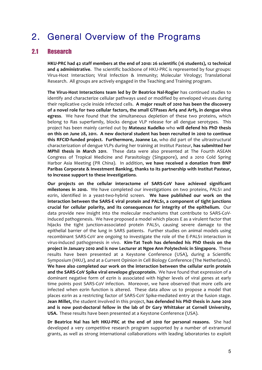# 2. General Overview of the Programs

## 2.1 Research

HKU-PRC had 42 staff members at the end of 2010: 26 scientific (16 students), 12 technical **and 4 administrative.** The scientific backbone of HKU-PRC is represented by four groups: Virus-Host Interaction; Viral Infection & Immunity; Molecular Virology; Translational Research. All groups are actively engaged in the Teaching and Training program.

The Virus-Host Interactions team led by Dr Beatrice Nal-Rogier has continued studies to identify and characterize cellular pathways used or modified by enveloped viruses during their replicative cycle inside infected cells. A major result of 2010 has been the discovery of a novel role for two cellular factors, the small GTPases Arf4 and Arf5, in dengue virus **egress.** We have found that the simultaneous depletion of these two proteins, which belong to Ras superfamily, blocks dengue VLP release for all dengue serotypes. This project has been mainly carried out by Mateusz Kudelko who will defend his PhD thesis on this on June 28, 2011. A new doctoral student has been recruited in 2010 to continue **this RFCID-funded project. Furthermore, Joanne Lo**, who did part of the ultrastructural characterization of dengue VLPs during her training at Institut Pasteur, has submitted her **MPhil thesis in March 2011.** These data were also presented at The Fourth ASEAN Congress of Tropical Medicine and Parasitology (Singapore), and a 2010 Cold Spring Harbor Asia Meeting (PR China). In addition, we have received a donation from BNP Paribas Corporate & Investment Banking, thanks to its partnership with Institut Pasteur, to increase support to these investigations.

Our projects on the cellular interactome of SARS-CoV have achieved significant milestones in 2010. We have completed our investigations on two proteins, PALS1 and ezrin, identified in a yeast-two-hybrid screen. We have published our work on the interaction between the SARS-E viral protein and PALS1, a component of tight junctions **crucial for cellular polarity, and its consequences for integrity of the epithelium.** Our data provide new insight into the molecular mechanisms that contribute to SARS-CoVinduced pathogenesis. We have proposed a model which places E as a virulent factor that hijacks the tight junction-associated protein PALS1, causing severe damage to the epithelial barrier of the lung in SARS patients. Further studies on animal models using recombinant SARS-CoV are ongoing to investigate the role of the E-PALS1 interaction in virus-induced pathogenesis in vivo. Kim-Tat Teoh has defended his PhD thesis on the **project in January 2010 and is now Lecturer at Ngee Ann Polytechnic in Singapore.** These results have been presented at a Keystone Conference (USA), during a Scientific Symposium (HKU), and at a Current Opinion in Cell Biology Conference (The Netherlands). We have also completed our work on the interaction between the cellular ezrin protein and the SARS-CoV Spike viral envelope glycoprotein. We have found that expression of a dominant negative form of ezrin is associated with higher levels of viral genes at early time points post SARS-CoV infection. Moreover, we have observed that more cells are infected when ezrin function is altered. These data allow us to propose a model that places ezrin as a restricting factor of SARS-CoV Spike-mediated entry at the fusion stage. **Jean Millet,** the student involved in this project, has defended his PhD thesis in June 2010 and is now post-doctoral fellow in the lab of Dr Gary Whittaker at Cornell University, **USA.** These results have been presented at a Keystone Conference (USA).

Dr Beatrice Nal has left HKU-PRC at the end of 2010 for personal reasons. She had developed a very competitive research program supported by a number of extramural grants, as well as strong international collaborations with leading laboratories to exploit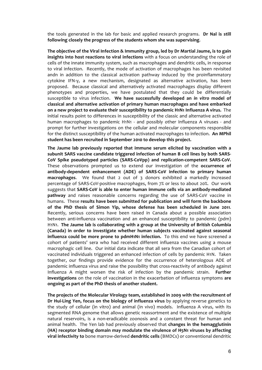the tools generated in the lab for basic and applied research programs. Dr Nal is still following closely the progress of the students whom she was supervising.

The objective of the Viral Infection & Immunity group, led by Dr Martial Jaume, is to gain **insights into host reactions to viral infections** with a focus on understanding the role of cells of the innate immunity system, such as macrophages and dendritic cells, in response to viral infection. Recently, the mode of activation of macrophages has been revisited andn in addition to the classical activation pathway induced by the proinflammatory cytokine IFN-y, a new mechanism, designated as alternative activation, has been proposed. Because classical and alternatively activated macrophages display different phenotypes and properties, we have postulated that they could be differentially susceptible to virus infection. We have successfully developed an in vitro model of classical and alternative activation of primary human macrophages and have embarked **on a new project to evaluate their susceptibility to pandemic H1N1 Influenza A virus.** The initial results point to differences in susceptibility of the classic and alternative activated human macrophages to pandemic  $H_1N_1$  - and possibly other Influenza A viruses - and prompt for further investigations on the cellular and molecular components responsible for the distinct susceptibility of the human activated macrophages to infection. An MPhil student has been recruited in September 2010 to develop this project.

The Jaume lab previously reported that immune serum elicited by vaccination with a subunit SARS vaccine candidate triggered infection of human B cell lines by both SARS-CoV Spike pseudotyped particles (SARS-CoVpp) and replication-competent SARS-CoV. These observations prompted us to extend our investigation of the **occurrence of** antibody-dependent enhancement (ADE) of SARS-CoV infection to primary human **macrophages.** We found that 2 out of 3 donors exhibited a markedly increased percentage of SARS-CoV-positive macrophages, from  $7\%$  or less to about 20%. Our work suggests that **SARS-CoV** is able to enter human immune cells via an antibody-mediated **pathway** and raises reasonable concerns regarding the use of SARS-CoV vaccine in humans. These results have been submitted for publication and will form the backbone of the PhD thesis of Simon Yip, whose defense has been scheduled in June 2011. Recently, serious concerns have been raised in Canada about a possible association between anti-influenza vaccination and an enhanced susceptibility to pandemic (pdm) H<sub>1</sub>N<sub>1</sub>. The Jaume lab is collaborating with a group at the University of British Columbia (Canada) in order to investigate whether human subjects vaccinated against seasonal **influenza could be more prone to pdmH1N1 infection.** To this end we have screened a cohort of patients' sera who had received different influenza vaccines using a mouse macrophagic cell line. Our initial data indicate that all sera from the Canadian cohort of vaccinated individuals triggered an enhanced infection of cells by pandemic H1N. Taken together, our findings provide evidence for the occurrence of heterologous ADE of pandemic influenza virus and raise the possibility that cross-reactivity of antibody against Influenza A might worsen the risk of infection by the pandemic strain. **Further investigations** on the role of vaccination in the exacerbation of influenza symptoms are ongoing as part of the PhD thesis of another student.

The projects of the Molecular Virology team, established in 2009 with the recruitment of **Dr Hui-Ling Yen, focus on the biology of influenza virus** by applying reverse genetics to the study of cellular (in vitro) and animal (in vivo) models. Influenza A virus, with its segmented RNA genome that allows genetic reassortment and the existence of multiple natural reservoirs, is a non-eradicable zoonosis and a constant threat for human and animal health. The Yen lab had previously observed that **changes in the hemagglutinin (HA)** receptor binding domain may modulate the virulence of H5N1 viruses by affecting **viral infectivity to** bone marrow-derived **dendritic cells** (BMDCs) or conventional dendritic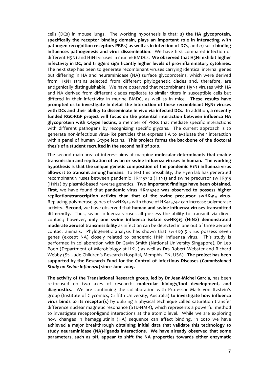cells (DCs) in mouse lungs. The working hypothesis is that: *a*) the HA glycoprotein, specifically the receptor binding domain, plays an important role in interacting with **pathogen recognition receptors PRRs) as well as in infection of DCs**, and *b*) such **binding influences pathogenesis and virus dissemination.** We have first compared infection of different H5N1 and H1N1 viruses in murine BMDCs. We observed that H5N1 exhibit higher infectivity in DC, and triggers significantly higher levels of pro-inflammatory cytokines. The next step has been to generate recombinant viruses carrying identical internal genes but differing in HA and neuraminidase (NA) surface glycoproteins, which were derived from H5N1 strains selected from different phylogenetic clades and, therefore, are antigenically distinguishable. We have observed that recombinant H5N1 viruses with HA and NA derived from different clades replicate to similar titers in susceptible cells but differed in their infectivity in murine BMDC, as well as in mice. These results have **prompted us to investigate in detail the interaction of these recombinant H5N1 viruses** with DCs and their ability to disseminate in vivo via infected DCs. In addition, a recently funded RGC-RGF project will focus on the potential interaction between influenza HA glycoprotein with C-type lectins, a member of PRRs that mediate specific interactions with different pathogens by recognizing specific glycans. The current approach is to generate non-infectious virus-like particles that express HA to evaluate their interaction with a panel of human C-type lectins. This project forms the backbone of the doctoral thesis of a student recruited in the second half of 2010.

The second main area of interest aims at mapping molecular determinants that enable transmission and replication of avian or swine influenza viruses in human. The working hypothesis is that the unique genetic composition of the pandemic H1N1 influenza virus **allows it to transmit among humans.** To test this possibility, the Hyen lab has generated recombinant viruses between pandemic  $HK415742$  (H1N1) and swine precursor swHK915 (H1N2) by plasmid-based reverse genetics. Two important findings have been obtained. First, we have found that pandemic virus HK415742 was observed to possess higher replication/transcription activity than that of the swine precursor swHK915 virus. Replacing polymerase genes of swHK915 with those of HK415742 can increase polymerase activity. Second, we have observed that **human and swine influenza viruses transmitted** differently. Thus, swine influenza viruses all possess the ability to transmit via direct contact; however, only one swine influenza isolate swHK915 (H1N2) demonstrated **moderate aerosol transmissibility** as infection can be detected in one out of three aerosol contact animals. Phylogenetic analysis has shown that swHK915 virus possess seven genes (except NA) closely related to pandemic H1N1 influenza virus. This study is performed in collaboration with Dr Gavin Smith (National University Singapore), Dr Leo Poon (Department of Microbiology at HKU) as well as Drs Robert Webster and Richard Webby (St. Jude Children's Research Hospital, Memphis, TN, USA). The project has been supported by the Research Fund for the Control of Infectious Diseases (Commissioned *Study on Swine Influenza***) since June 2009.**

The activity of the Translational Research group, led by Dr Jean-Michel Garcia, has been re-focused on two axes of research: molecular biology/tool development, and **diagnostics.** We are continuing the collaboration with Professor Mark von Itzstein's group (Institute of Glycomics, Griffith University, Australia) **to investigate how influenza virus binds to its receptor(s)** by utilizing a physical technique called saturation transfer difference nuclear magnetic resonance (STD-NMR), which represents a powerful method to investigate receptor-ligand interactions at the atomic level. While we are exploring how changes in hemagglutinin (HA) sequence can affect binding, in 2010 we have achieved a major breakthrough **obtaining initial data that validate this technology to** study neuraminidase (NA)-ligands interactions. We have already observed that some parameters, such as pH, appear to shift the NA properties towards either enzymatic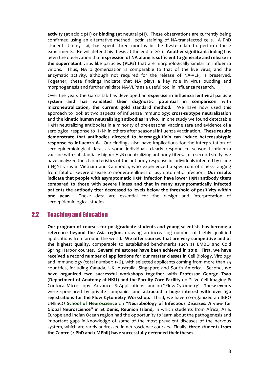**activity** (at acidic pH) or binding (at neutral pH). These observations are currently being confirmed using an alternative method, lectin staining of NA-transfected cells. A PhD student, Jimmy Lai, has spent three months in the Itzstein lab to perform these experiments. He will defend his thesis at the end of 2011. Another significant finding has been the observation that **expression of NA alone is sufficient to generate and release in the supernatant** virus like particles (VLPs) that are morphologically similar to influenza virions. Thus, NA oligomerization is comparable to that of the live virus, and the enzymatic activity, although not required for the release of NA-VLP, is preserved. Together, these findings indicate that NA plays a key role in virus budding and morphogenesis and further validate NA-VLPs as a useful tool in influenza research.

Over the years the Garcia lab has developed an **expertise in influenza lentiviral particle** system and has validated their diagnostic potential in comparison with microneutralization, the current gold standard method. We have now used this approach to look at two aspects of influenza immunology: **cross-subtype neutralization** and the **kinetic human neutralizing antibodies in vivo**. In one study we found detectable H5N1 neutralizing antibodies in a minority of pre-seasonal vaccine sera and evidence of a serological response to H5N1 in others after seasonal influenza vaccination. These results demonstrate that antibodies directed to haemagglutinin can induce heterosubtypic **response to influenza A.** Our findings also have implications for the interpretation of sero-epidemiological data, as some individuals clearly respond to seasonal influenza vaccine with substantially higher H5N1 neutralizing antibody titers. In a second study, we have analyzed the characteristics of the antibody response in individuals infected by clade 1 H5N1 virus in Vietnam and Cambodia, who experienced a spectrum of illness ranging from fatal or severe disease to moderate illness or asymptomatic infection. Our results indicate that people with asymptomatic H5N1 infection have lower H5N1 antibody titers compared to those with severe illness and that in many asymptomatically infected patients the antibody titer decreased to levels below the threshold of positivity within **one** year. These data are essential for the design and interpretation of seroepidemiological studies.

## 2.2 Teaching and Education

Our program of courses for postgraduate students and young scientists has become a reference beyond the Asia region, drawing an increasing number of highly qualified applications from around the world. We offer courses that are very competitive and of the highest quality, comparable to established benchmarks such as EMBO and Cold Spring Harbor courses. Several milestones have been achieved in 2010. First, we have **received a record number of applications for our master classes in** Cell Biology, Virology and Immunology (total number: 156), with selected applicants coming from more than 25 countries, including Canada, UK, Australia, Singapore and South America. Second, we have organized two successful workshops together with Professor George Tsao **(Department of Anatomy at HKU) and the Faculty Core Facility** on "Live Cell Imaging & Confocal Microscopy - Advances & Applications" and on "Flow Cytometry". These events were sponsored by private companies and **attracted a huge interest with over 150 registrations for the Flow Cytometry Workshop.** Third, we have co-organized an IBRO UNESCO **School of Neuroscience** on "**Neurobiology of Infectious Diseases: A view for Global Neuroscience"** in St Denis, Reunion Island, in which students from Africa, Asia, Europe and Indian Ocean region had the opportunity to learn about the pathogenesis and important gaps in knowledge of some of the most prevalent diseases of the nervous system, which are rarely addressed in neuroscience courses. Finally, three students from the Centre (2 PhD and 1 MPhil) have successfully defended their theses.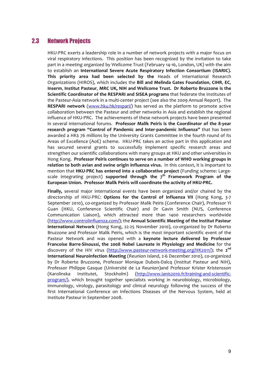## 2.3 Network Projects

HKU-PRC exerts a leadership role in a number of network projects with a major focus on viral respiratory infections. This position has been recognized by the invitation to take part in a meeting organized by Wellcome Trust (February 14-16, London, UK) with the aim to establish an International Severe Acute Respiratory Infection Consortium (ISARIC). This priority area had been selected by the Heads of International Research Organizations (HIROS), which includes the **Bill and Melinda Gates Foundation**, **CIHR**, **EC**, **Inserm, Institut Pasteur, MRC UK, NIH and Wellcome Trust. Dr Roberto Bruzzone is the Scientific Coordinator of the RESPARI and SISEA programs** that federate the Institutes of the Pasteur-Asia network in a multi-center project (see also the 2009 Annual Report). The **RESPARI network** (www.hku.hk/respari/) has served as the platform to promote active collaboration between the Pasteur and other networks in Asia and establish the regional influence of HKU-PRC. The achievements of these network projects have been presented in several international forums. Professor Malik Peiris is the Coordinator of the 8-year **research program "Control of Pandemic and Inter-pandemic Influenza"** that has been awarded a HK\$ 76 millions by the University Grants Committee in the fourth round of its Areas of Excellence (AoE) scheme. HKU-PRC takes an active part in this application and has secured several grants to successfully implement specific research areas and strengthen our scientific collaborations with many groups at HKU and other universities in Hong Kong. Professor Peiris continues to serve on a number of WHO working groups in **relation to both avian and swine origin influenza virus.** In this context, it is important to mention that HKU-PRC has entered into a collaborative project (Funding scheme: Largescale integrating project) **supported through the 7<sup>th</sup> Framework Program of the** European Union. Professor Malik Peiris will coordinate the activity of HKU-PRC.

**Finally,** several major international events have been organized and/or chaired by the directorship of HKU-PRC: **Options for the Control of Influenza VII** (Hong Kong, 3-7 September 2010), co-organized by Professor Malik Peiris (Conference Chair), Professor Yi Guan (HKU, Conference Scientific Chair) and Dr Gavin Smith (NUS, Conference Communication Liaison), which attracted more than 1400 researchers worldwide (http://www.controlinfluenza.com/); the **Annual Scientific Meeting of the Institut Pasteur International Network** (Hong Kong, 22-25 November 2010), co-organized by Dr Roberto Bruzzone and Professor Malik Peiris, which is the most important scientific event of the Pasteur Network and was opened with a keynote lecture delivered by Professor **Francoise Barre-Sinoussi, the 2008 Nobel Laureate in Physiology and Medicine** for the discovery of the HIV virus (http://www.pasteur-network-meeting.org/HK2011/); the 2<sup>nd</sup> **International Neuroinfection Meeting** (Reunion Island, 2-6 December 2010), co-organized by Dr Roberto Bruzzone, Professor Monique Dubois-Dalcq (Institut Pasteur and NIH), Professor Philippe Gasque (Université de La Reunion)and Professor Krister Kristensson (Karolinska Institutet, Stockholm) (http://www.ianis2010.fr/training-and-scientificprogram/), which brought together specialists working in neurobiology, microbiology, immunology, virology, parasitology and clinical neurology following the success of the first International Conference on Infections Diseases of the Nervous System, held at Institute Pasteur in September 2008.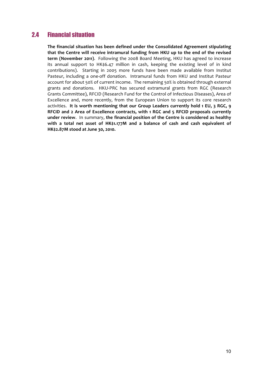# 2.4 Financial situation

The financial situation has been defined under the Consolidated Agreement stipulating that the Centre will receive intramural funding from HKU up to the end of the revised **term (November 2011).** Following the 2008 Board Meeting, HKU has agreed to increase its annual support to HK\$6.47 million in cash, keeping the existing level of in kind contributions). Starting in 2005 more funds have been made available from Institut Pasteur, including a one-off donation. Intramural funds from HKU and Institut Pasteur account for about 50% of current income. The remaining 50% is obtained through external grants and donations. HKU-PRC has secured extramural grants from RGC (Research Grants Committee), RFCID (Research Fund for the Control of Infectious Diseases), Area of Excellence and, more recently, from the European Union to support its core research activities. It is worth mentioning that our Group Leaders currently hold 1 EU, 3 RGC, 9 RFCID and 2 Area of Excellence contracts, with 1 RGC and 5 RFCID proposals currently under review. In summary, the financial position of the Centre is considered as healthy with a total net asset of HK\$1.177M and a balance of cash and cash equivalent of **HK\$2.87M stood at June 30, 2010.**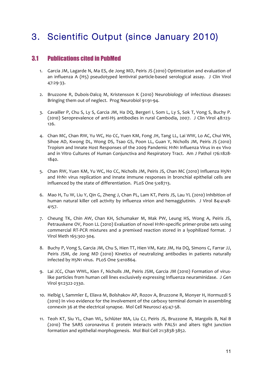# 3. Scientific Output (since January 2010)

## 3.1 Publications cited in PubMed

- 1. Garcia JM, Lagarde N, Ma ES, de Jong MD, Peiris JS (2010) Optimization and evaluation of an influenza A (H5) pseudotyped lentiviral particle-based serological assay. J Clin Virol 47:29-33.
- 2. Bruzzone R, Dubois-Dalcq M, Kristensson K (2010) Neurobiology of infectious diseases: Bringing them out of neglect. Prog Neurobiol 91:91-94.
- 3. Cavailler P, Chu S, Ly S, Garcia JM, Ha DQ, Bergeri I, Som L, Ly S, Sok T, Vong S, Buchy P. (2010) Seroprevalence of anti-H5 antibodies in rural Cambodia, 2007. J Clin Virol 48:123-126.
- 4. Chan MC, Chan RW, Yu WC, Ho CC, Yuen KM, Fong JH, Tang LL, Lai WW, Lo AC, Chui WH, Sihoe AD, Kwong DL, Wong DS, Tsao GS, Poon LL, Guan Y, Nicholls JM, Peiris JS (2010) Tropism and Innate Host Responses of the 2009 Pandemic H1N1 Influenza Virus in ex Vivo and in Vitro Cultures of Human Conjunctiva and Respiratory Tract. Am J Pathol 176:1828-1840.
- 5. Chan RW, Yuen KM, Yu WC, Ho CC, Nicholls JM, Peiris JS, Chan MC (2010) Influenza H5N1 and H1N1 virus replication and innate immune responses in bronchial epithelial cells are influenced by the state of differentiation. PLoS One 5:e8713.
- 6. Mao H, Tu W, Liu Y, Qin G, Zheng J, Chan PL, Lam KT, Peiris JS, Lau YL (2010) Inhibition of human natural killer cell activity by influenza virion and hemagglutinin. J Virol 84:4148-4157.
- 7. Cheung TK, Chin AW, Chan KH, Schumaker M, Mak PW, Leung HS, Wong A, Peiris JS, Petrauskene OV, Poon LL (2010) Evaluation of novel H1N1-specific primer-probe sets using commercial RT-PCR mixtures and a premixed reaction stored in a lyophilized format. J Virol Meth 165:302-304.
- 8. Buchy P, Vong S, Garcia JM, Chu S, Hien TT, Hien VM, Katz JM, Ha DQ, Simons C, Farrar JJ, Peiris JSM, de Jong MD (2010) Kinetics of neutralizing antibodies in patients naturally infected by H5N1 virus. PLoS One 5:e10864.
- 9. Lai JCC, Chan WWL, Kien F, Nicholls JM, Peiris JSM, Garcia JM (2010) Formation of viruslike particles from human cell lines exclusively expressing Influenza neuraminidase. J Gen Virol 91:2322-2330.
- 10. Helbig I, Sammler E, Eliava M, Bolshakov AP, Rozov A, Bruzzone R, Monyer H, Hormuzdi S  $(2010)$  In vivo evidence for the involvement of the carboxy terminal domain in assembling connexin 36 at the electrical synapse. Mol Cell Neurosci 45:47-58.
- 11. Teoh KT, Siu YL, Chan WL, Schlüter MA, Liu CJ, Peiris JS, Bruzzone R, Margolis B, Nal B (2010) The SARS coronavirus E protein interacts with PALS1 and alters tight junction formation and epithelial morphogenesis. Mol Biol Cell 21:3838-3852.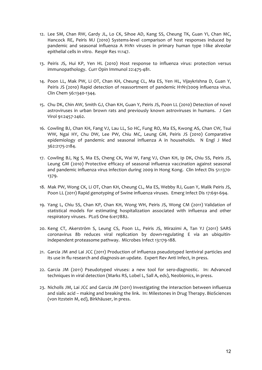- 12. Lee SM, Chan RW, Gardy JL, Lo CK, Sihoe AD, Kang SS, Cheung TK, Guan YI, Chan MC, Hancock RE, Peiris MJ (2010) Systems-level comparison of host responses induced by pandemic and seasonal influenza A H1N1 viruses in primary human type I-like alveolar epithelial cells in vitro. Respir Res 11:147.
- 13. Peiris JS, Hui KP, Yen HL (2010) Host response to influenza virus: protection versus immunopathology. Curr Opin Immunol 22:475-481.
- 14. Poon LL, Mak PW, Li OT, Chan KH, Cheung CL, Ma ES, Yen HL, Vijaykrishna D, Guan Y, Peiris JS (2010) Rapid detection of reassortment of pandemic H1N1/2009 influenza virus. Clin Chem 56:1340-1344.
- 15. Chu DK, Chin AW, Smith GJ, Chan KH, Guan Y, Peiris JS, Poon LL (2010) Detection of novel astroviruses in urban brown rats and previously known astroviruses in humans. J Gen Virol 91:2457-2462.
- 16. Cowling BJ, Chan KH, Fang VJ, Lau LL, So HC, Fung RO, Ma ES, Kwong AS, Chan CW, Tsui WW, Ngai HY, Chu DW, Lee PW, Chiu MC, Leung GM, Peiris JS (2010) Comparative epidemiology of pandemic and seasonal influenza A in households. N Engl J Med 362:2175-2184.
- 17. Cowling BJ, Ng S, Ma ES, Cheng CK, Wai W, Fang VJ, Chan KH, Ip DK, Chiu SS, Peiris JS, Leung GM (2010) Protective efficacy of seasonal influenza vaccination against seasonal and pandemic influenza virus infection during 2009 in Hong Kong. Clin Infect Dis 51:1370-1379.
- 18. Mak PW, Wong CK, Li OT, Chan KH, Cheung CL, Ma ES, Webby RJ, Guan Y, Malik Peiris JS, Poon LL (2011) Rapid genotyping of Swine influenza viruses. Emerg Infect Dis 17:691-694.
- 19. Yang L, Chiu SS, Chan KP, Chan KH, Wong WH, Peiris JS, Wong CM (2011) Validation of statistical models for estimating hospitalization associated with influenza and other respiratory viruses. PLoS One 6:e17882.
- 20. Keng CT, Akerström S, Leung CS, Poon LL, Peiris JS, Mirazimi A, Tan YJ (2011) SARS coronavirus 8b reduces viral replication by down-regulating E via an ubiquitinindependent proteasome pathway. Microbes Infect 13:179-188.
- 21. Garcia JM and Lai JCC (2011) Production of influenza pseudotyped lentiviral particles and its use in flu research and diagnosis-an update. Expert Rev Anti Infect, in press.
- 22. Garcia JM (2011) Pseudotyped viruses: a new tool for sero-diagnostic. In: Advanced techniques in viral detection (Marks RS, Lobel L, Sall A, eds), Neobionics, in press.
- 23. Nicholls JM, Lai JCC and Garcia JM (2011) Investigating the interaction between influenza and sialic acid – making and breaking the link. In: Milestones in Drug Therapy. BioSciences (von Itzstein M, ed), Birkhäuser, in press.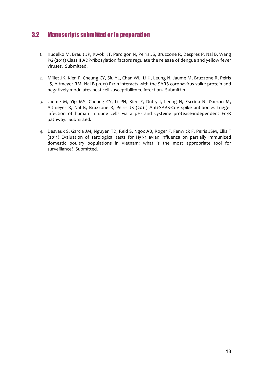# 3.2 Manuscripts submitted or in preparation

- 1. Kudelko M, Brault JP, Kwok KT, Pardigon N, Peiris JS, Bruzzone R, Despres P, Nal B, Wang PG (2011) Class II ADP-ribosylation factors regulate the release of dengue and yellow fever viruses. Submitted.
- 2. Millet JK, Kien F, Cheung CY, Siu YL, Chan WL, Li H, Leung N, Jaume M, Bruzzone R, Peiris JS, Altmeyer RM, Nal B (2011) Ezrin interacts with the SARS coronavirus spike protein and negatively modulates host cell susceptibility to infection. Submitted.
- 3. Jaume M, Yip MS, Cheung CY, Li PH, Kien F, Dutry I, Leung N, Escriou N, Daëron M, Altmeyer R, Nal B, Bruzzone R, Peiris JS (2011) Anti-SARS-CoV spike antibodies trigger infection of human immune cells via a pH- and cysteine protease-independent FcγR pathway. Submitted.
- 4. Desvaux S, Garcia JM, Nguyen TD, Reid S, Ngoc AB, Roger F, Fenwick F, Peiris JSM, Ellis T (2011) Evaluation of serological tests for H5N1 avian influenza on partially immunized domestic poultry populations in Vietnam: what is the most appropriate tool for surveillance? Submitted.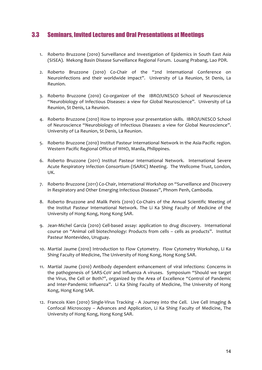## 3.3 Seminars, Invited Lectures and Oral Presentations at Meetings

- 1. Roberto Bruzzone (2010) Surveillance and Investigation of Epidemics in South East Asia (SISEA). Mekong Basin Disease Surveillance Regional Forum. Louang Prabang, Lao PDR.
- 2. Roberto Bruzzone (2010) Co-Chair of the "2nd International Conference on Neuroinfections and their worldwide impact". University of La Reunion, St Denis, La Reunion.
- 3. Roberto Bruzzone (2010) Co-organizer of the IBRO/UNESCO School of Neuroscience "Neurobiology of Infectious Diseases: a view for Global Neuroscience". University of La Reunion, St Denis, La Reunion.
- 4. Roberto Bruzzone (2010) How to improve your presentation skills. IBRO/UNESCO School of Neuroscience "Neurobiology of Infectious Diseases: a view for Global Neuroscience". University of La Reunion, St Denis, La Reunion.
- 5. Roberto Bruzzone (2010) Institut Pasteur International Network in the Asia-Pacific region. Western Pacific Regional Office of WHO, Manila, Philippines.
- 6. Roberto Bruzzone (2011) Institut Pasteur International Network. International Severe Acute Respiratory Infection Consortium (ISARIC) Meeting. The Wellcome Trust, London, UK.
- 7. Roberto Bruzzone (2011) Co-Chair, International Workshop on "Surveillance and Discovery in Respiratory and Other Emerging Infectious Diseases", Phnom Penh, Cambodia.
- 8. Roberto Bruzzone and Malik Peiris (2010) Co-Chairs of the Annual Scientific Meeting of the Institut Pasteur International Network. The Li Ka Shing Faculty of Medicine of the University of Hong Kong, Hong Kong SAR.
- 9. Jean-Michel Garcia (2010) Cell-based assay: application to drug discovery. International course on "Animal cell biotechnology: Products from cells - cells as products". Institut Pasteur Montevideo, Uruguay.
- 10. Martial Jaume (2010) Introduction to Flow Cytometry. Flow Cytometry Workshop, Li Ka Shing Faculty of Medicine, The University of Hong Kong, Hong Kong SAR.
- 11. Martial Jaume (2010) Antibody dependent enhancement of viral infections: Concerns in the pathogenesis of SARS-CoV and Influenza A viruses. Symposium "Should we target the Virus, the Cell or Both?", organized by the Area of Excellence "Control of Pandemic and Inter-Pandemic Influenza". Li Ka Shing Faculty of Medicine, The University of Hong Kong, Hong Kong SAR.
- 12. Francois Kien (2010) Single-Virus Tracking A Journey into the Cell. Live Cell Imaging & Confocal Microscopy – Advances and Application, Li Ka Shing Faculty of Medicine, The University of Hong Kong, Hong Kong SAR.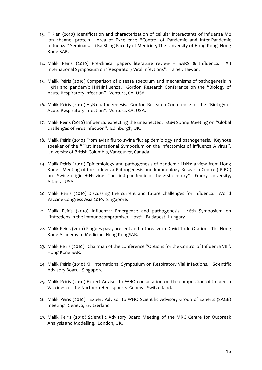- 13. F Kien (2010) Identification and characterization of cellular interactants of influenza M2 ion channel protein. Area of Excellence "Control of Pandemic and Inter-Pandemic Influenza" Seminars. Li Ka Shing Faculty of Medicine, The University of Hong Kong, Hong Kong SAR.
- 14. Malik Peiris (2010) Pre-clinical papers literature review SARS & Influenza. XII International Symposium on "Respiratory Viral Infections". Taipei, Taiwan.
- 15. Malik Peiris (2010) Comparison of disease spectrum and mechanisms of pathogenesis in H5N1 and pandemic H1N1influenza. Gordon Research Conference on the "Biology of Acute Respiratory Infection". Ventura, CA, USA.
- 16. Malik Peiris (2010) H5N1 pathogenesis. Gordon Research Conference on the "Biology of Acute Respiratory Infection". Ventura, CA, USA.
- 17. Malik Peiris (2010) Influenza: expecting the unexpected. SGM Spring Meeting on "Global challenges of virus infection". Edinburgh, UK.
- 18. Malik Peiris (2010) From avian flu to swine flu: epidemiology and pathogenesis. Keynote speaker of the "First International Symposium on the infectomics of influenza A virus". University of British Columbia, Vancouver, Canada.
- 19. Malik Peiris (2010) Epidemiology and pathogenesis of pandemic H1N1: a view from Hong Kong. Meeting of the Influenza Pathogenesis and Immunology Research Centre (IPIRC) on "Swine origin H1N1 virus: The first pandemic of the 21st century". Emory University, Atlanta, USA.
- 20. Malik Peiris (2010) Discussing the current and future challenges for influenza. World Vaccine Congress Asia 2010. Singapore.
- 21. Malik Peiris (2010) Influenza: Emergence and pathogenesis. 16th Symposium on "Infections in the Immunocompromised Host". Budapest, Hungary.
- 22. Malik Peiris (2010) Plagues past, present and future. 2010 David Todd Oration. The Hong Kong Academy of Medicine, Hong KongSAR.
- 23. Malik Peiris (2010). Chairman of the conference "Options for the Control of Influenza VII". Hong Kong SAR.
- 24. Malik Peiris (2010) XII International Symposium on Respiratory Vial Infections. Scientific Advisory Board. Singapore.
- 25. Malik Peiris (2010) Expert Advisor to WHO consultation on the composition of Influenza Vaccines for the Northern Hemisphere. Geneva, Switzerland.
- 26. Malik Peiris (2010). Expert Advisor to WHO Scientific Advisory Group of Experts (SAGE) meeting. Geneva, Switzerland.
- 27. Malik Peiris (2010) Scientific Advisory Board Meeting of the MRC Centre for Outbreak Analysis and Modelling. London, UK.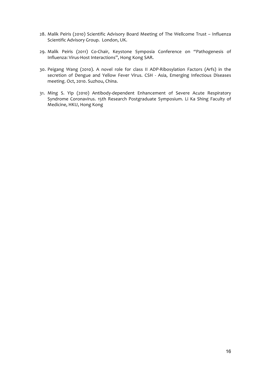- 28. Malik Peiris (2010) Scientific Advisory Board Meeting of The Wellcome Trust Influenza Scientific Advisory Group. London, UK.
- 29. Malik Peiris (2011) Co-Chair, Keystone Symposia Conference on "Pathogenesis of Influenza: Virus-Host Interactions", Hong Kong SAR.
- 30. Peigang Wang (2010). A novel role for class II ADP-Ribosylation Factors (Arfs) in the secretion of Dengue and Yellow Fever Virus. CSH - Asia, Emerging Infectious Diseases meeting. Oct, 2010. Suzhou, China.
- 31. Ming S. Yip (2010) Antibody-dependent Enhancement of Severe Acute Respiratory Syndrome Coronavirus. 15th Research Postgraduate Symposium. Li Ka Shing Faculty of Medicine, HKU, Hong Kong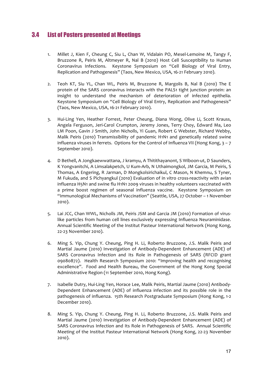# 3.4 List of Posters presented at Meetings

- 1. Millet J, Kien F, Cheung C, Siu L, Chan W, Vidalain PO, Mesel-Lemoine M, Tangy F, Bruzzone R, Peiris M, Altmeyer R, Nal B (2010) Host Cell Susceptibility to Human Coronavirus Infections. Keystone Symposium on "Cell Biology of Viral Entry, Replication and Pathogenesis" (Taos, New Mexico, USA, 16-21 February 2010).
- 2. Teoh KT, Siu YL, Chan WL, Peiris M, Bruzzone R, Margolis B, Nal B (2010) The E protein of the SARS coronavirus interacts with the PALS1 tight junction protein: an insight to understand the mechanism of deterioration of infected epithelia. Keystone Symposium on "Cell Biology of Viral Entry, Replication and Pathogenesis" (Taos, New Mexico, USA, 16-21 February 2010).
- 3. Hui-Ling Yen, Heather Forrest, Peter Cheung, Diana Wong, Olive Li, Scott Krauss, Angela Ferguson, Jeri-Carol Crumpton, Jeremy Jones, Terry Choy, Edward Ma, Leo LM Poon, Gavin J Smith, John Nicholls, Yi Guan, Robert G Webster, Richard Webby, Malik Peiris (2010) Transmissibility of pandemic H1N1 and genetically related swine influenza viruses in ferrets. Options for the Control of Influenza VII (Hong Kong,  $3 - 7$ ) September 2010).
- 4. D Bethell, A Jongkaewwattana, J kramyu, A Thitithayanont, S Wiboon-ut, D Saunders, K Yongvanitchi, A Limsalakpetch, U Kum-Arb, N Uthaimongkol, JM Garcia, M Peiris, S Thomas, A Engering, R Jarman, D Mongkolsirichaikul, C Mason, N Khemnu, S Tyner, M Fukuda, and S Pichyangkul (2010) Evaluation of in vitro cross-reactivity with avian influenza H5N1 and swine flu H1N1 2009 viruses in healthy volunteers vaccinated with a prime boost regimen of seasonal influenza vaccine. Keystone Symposium on "Immunological Mechanisms of Vaccination" (Seattle, USA, 27 October - 1 November 2010).
- 5. Lai JCC, Chan WWL, Nicholls JM, Peiris JSM and Garcia JM (2010) Formation of viruslike particles from human cell lines exclusively expressing Influenza Neuraminidase. Annual Scientific Meeting of the Institut Pasteur International Network (Hong Kong, 22-23 November 2010).
- 6. Ming S. Yip, Chung Y. Cheung, Ping H. Li, Roberto Bruzzone, J.S. Malik Peiris and Martial Jaume (2010) Investigation of Antibody-Dependent Enhancement (ADE) of SARS Coronavirus Infection and Its Role in Pathogenesis of SARS (RFCID grant 09080872). Health Research Symposium 2010: "Improving health and recognising excellence". Food and Health Bureau, the Government of the Hong Kong Special Administrative Region (11 September 2010, Hong Kong).
- 7. Isabelle Dutry, Hui-Ling Yen, Horace Lee, Malik Peiris, Martial Jaume (2010) Antibody-Dependent Enhancement (ADE) of influenza infection and its possible role in the pathogenesis of influenza. 15th Research Postgraduate Symposium (Hong Kong, 1-2 December 2010).
- 8. Ming S. Yip, Chung Y. Cheung, Ping H. Li, Roberto Bruzzone, J.S. Malik Peiris and Martial Jaume (2010) Investigation of Antibody-Dependent Enhancement (ADE) of SARS Coronavirus Infection and Its Role in Pathogenesis of SARS. Annual Scientific Meeting of the Institut Pasteur International Network (Hong Kong, 22-23 November 2010).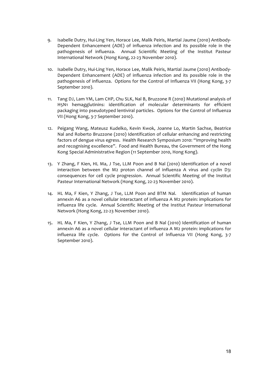- 9. Isabelle Dutry, Hui-Ling Yen, Horace Lee, Malik Peiris, Martial Jaume (2010) Antibody-Dependent Enhancement (ADE) of influenza infection and its possible role in the pathogenesis of influenza. Annual Scientific Meeting of the Institut Pasteur International Network (Hong Kong, 22-23 November 2010).
- 10. Isabelle Dutry, Hui-Ling Yen, Horace Lee, Malik Peiris, Martial Jaume (2010) Antibody-Dependent Enhancement (ADE) of influenza infection and its possible role in the pathogenesis of influenza. Options for the Control of Influenza VII (Hong Kong, 3-7 September 2010).
- 11. Tang DJ, Lam YM, Lam CHP, Chu SLK, Nal B, Bruzzone R (2010) Mutational analysis of H5N1 hemagglutinins: identification of molecular determinants for efficient packaging into pseudotyped lentiviral particles. Options for the Control of Influenza VII (Hong Kong, 3-7 September 2010).
- 12. Peigang Wang, Mateusz Kudelko, Kevin Kwok, Joanne Lo, Martin Sachse, Beatrice Nal and Roberto Bruzzone (2010) Identification of cellular enhancing and restricting factors of dengue virus egress. Health Research Symposium 2010: "Improving health and recognising excellence". Food and Health Bureau, the Government of the Hong Kong Special Administrative Region (11 September 2010, Hong Kong).
- 13. Y Zhang, F Kien, HL Ma, J Tse, LLM Poon and B Nal (2010) Identification of a novel interaction between the M2 proton channel of influenza A virus and cyclin D3: consequences for cell cycle progression. Annual Scientific Meeting of the Institut Pasteur International Network (Hong Kong, 22-23 November 2010).
- 14. HL Ma, F Kien, Y Zhang, J Tse, LLM Poon and BTM Nal. Identification of human annexin A6 as a novel cellular interactant of influenza A M2 protein: implications for influenza life cycle. Annual Scientific Meeting of the Institut Pasteur International Network (Hong Kong, 22-23 November 2010).
- 15. HL Ma, F Kien, Y Zhang, J Tse, LLM Poon and B Nal (2010) Identification of human annexin A6 as a novel cellular interactant of influenza A M2 protein: implications for influenza life cycle. Options for the Control of Influenza VII (Hong Kong, 3-7 September 2010).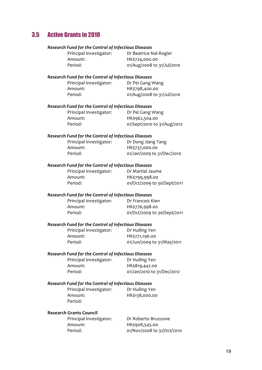# 3.5 Active Grants in 2010

| Research Fund for the Control of Infectious Diseases |                                                      |                             |
|------------------------------------------------------|------------------------------------------------------|-----------------------------|
|                                                      | Principal Investigator:                              | Dr Beatrice Nal-Rogier      |
|                                                      | Amount:                                              | HK\$724,000.00              |
|                                                      | Period:                                              | 01/Aug/2008 to 31/Jul/2010  |
|                                                      |                                                      |                             |
|                                                      | Research Fund for the Control of Infectious Diseases |                             |
|                                                      | Principal Investigator:                              | Dr Pei Gang Wang            |
|                                                      | Amount:                                              | HK\$798,400.00              |
|                                                      | Period:                                              | 01/Aug/2008 to 31/Jul/2010  |
|                                                      | Research Fund for the Control of Infectious Diseases |                             |
|                                                      | Principal Investigator:                              | Dr Pei Gang Wang            |
|                                                      | Amount:                                              | HK\$962,504.00              |
|                                                      | Period:                                              | 01/Sept/2010 to 31/Aug/2012 |
|                                                      |                                                      |                             |
|                                                      | Research Fund for the Control of Infectious Diseases |                             |
|                                                      | Principal Investigator:                              | Dr Dong Jiang Tang          |
|                                                      | Amount:                                              | HK\$737,000.00              |
|                                                      | Period:                                              | 01/Jan/2009 to 31/Dec/2010  |
|                                                      |                                                      |                             |
|                                                      | Research Fund for the Control of Infectious Diseases |                             |
|                                                      | Principal Investigator:                              | Dr Martial Jaume            |
|                                                      | Amount:                                              | HK\$799,998.00              |
|                                                      | Period:                                              | 01/Oct/2009 to 30/Sept/2011 |
|                                                      | Research Fund for the Control of Infectious Diseases |                             |
|                                                      | Principal Investigator:                              | Dr Francois Kien            |
|                                                      | Amount:                                              | HK\$776,998.00              |
|                                                      | Period:                                              | 01/Oct/2009 to 30/Sept/2011 |
|                                                      |                                                      |                             |
|                                                      | Research Fund for the Control of Infectious Diseases |                             |
|                                                      | Principal Investigator:                              | Dr Huiling Yen              |
|                                                      | Amount:                                              | HK\$771,196.00              |
|                                                      | Period:                                              | 01/Jun/2009 to 31/May/2011  |
|                                                      | Research Fund for the Control of Infectious Diseases |                             |
|                                                      | Principal Investigator:                              | Dr Huiling Yen              |
|                                                      | Amount:                                              | HK\$819,442.00              |
|                                                      | Period:                                              | 01/Jan/2010 to 31/Dec/2012  |
|                                                      |                                                      |                             |
|                                                      | Research Fund for the Control of Infectious Diseases |                             |
|                                                      | Principal Investigator:                              | Dr Huiling Yen              |
|                                                      | Amount:                                              | HK\$138,000.00              |
|                                                      | Period:                                              |                             |
| <b>Research Grants Council</b>                       |                                                      |                             |
|                                                      | Principal Investigator:                              | Dr Roberto Bruzzone         |
|                                                      | Amount:                                              | HK\$908,545.00              |

Period: 01/Nov/2008 to 31/Oct/2010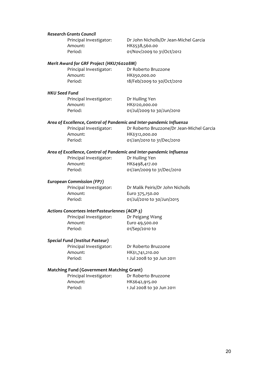### *Research Grants Council*

Amount: HK\$538,560.00

Principal Investigator: Dr John Nicholls/Dr Jean-Michel Garcia Period: 01/Nov/2009 to 31/Oct/2012

### *Merit Award for GRF Project (HKU760208M)*

| Principal Investigator: | Dr Roberto Bruzzone        |
|-------------------------|----------------------------|
| Amount:                 | HK\$50,000.00              |
| Period:                 | 18/Feb/2009 to 30/Oct/2010 |

#### *HKU Seed Fund*

Principal Investigator: Dr Huiling Yen Amount: HK\$120,000.00

Period: 01/Jul/2009 to 30/Jun/2010

#### Area of Excellence, Control of Pandemic and Inter-pandemic Influenza

Principal Investigator: Dr Roberto Bruzzone/Dr Jean-Michel Garcia Amount: HK\$312,000.00 Period: 01/Jan/2010 to 31/Dec/2010

### Area of Excellence, Control of Pandemic and Inter-pandemic Influenza

Principal Investigator: Dr Huiling Yen Amount: HK\$498,417.00

Period: 01/Jan/2009 to 31/Dec/2010

### *European Commission (FP7)*

Amount: Euro 375,150.00

Principal Investigator: Dr Malik Peiris/Dr John Nicholls Period: 01/Jul/2010 to 30/Jun/2015

### *Actions Concertees InterPasteuriennes (ACIP-3)*

Principal Investigator: Dr Peigang Wang Amount: Euro 49,500.00 Period: 01/Sep/2010 to

### *Special Fund (Institut Pasteur)*

Principal Investigator: Dr Roberto Bruzzone Amount: HK\$1,741,210.00

Period: 1 Jul 2008 to 30 Jun 2011

### **Matching Fund (Government Matching Grant)**

| Principal Investigator: | Dr Roberto Bruzzone       |
|-------------------------|---------------------------|
| Amount:                 | HK\$642,915.00            |
| Period:                 | 1 Jul 2008 to 30 Jun 2011 |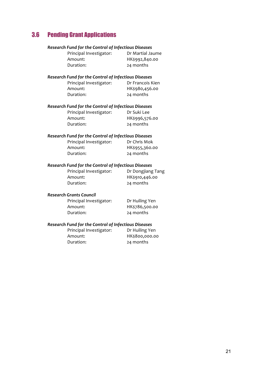# 3.6 Pending Grant Applications

| Research Fund for the Control of Infectious Diseases |                  |
|------------------------------------------------------|------------------|
| Principal Investigator:                              | Dr Martial Jaume |
| Amount:                                              | HK\$992,840.00   |
| Duration:                                            | 24 months        |
| Research Fund for the Control of Infectious Diseases |                  |
| Principal Investigator:                              | Dr Francois Kien |
| Amount:                                              | HK\$980,456.00   |
| Duration:                                            | 24 months        |
| Research Fund for the Control of Infectious Diseases |                  |
| Principal Investigator:                              | Dr Suki Lee      |
| Amount:                                              | HK\$996,576.00   |
| Duration:                                            | 24 months        |
| Research Fund for the Control of Infectious Diseases |                  |
| Principal Investigator:                              | Dr Chris Mok     |
| Amount:                                              | HK\$955,360.00   |
| Duration:                                            | 24 months        |

### *Research Fund for the Control of Infectious Diseases*

| Principal Investigator: | Dr Dongjiang Tang |
|-------------------------|-------------------|
| Amount:                 | HK\$910,446.00    |
| Duration:               | 24 months         |

### *Research Grants Council*

| Principal Investigator: | Dr Huiling Yen |
|-------------------------|----------------|
| Amount:                 | HK\$786,500.00 |
| Duration:               | 24 months      |

### *Research Fund for the Control of Infectious Diseases*

| Principal Investigator: | Dr Huiling Yen |
|-------------------------|----------------|
| Amount:                 | HK\$800,000.00 |
| Duration:               | 24 months      |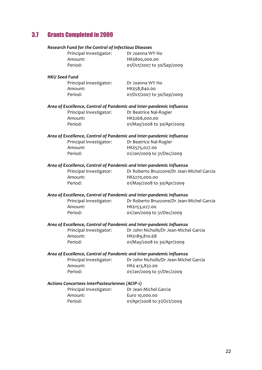# 3.7 Grants Completed in 2009

| Research Fund for the Control of Infectious Diseases                 |                                           |  |
|----------------------------------------------------------------------|-------------------------------------------|--|
| Principal Investigator:                                              | Dr Joanna WY Ho                           |  |
| Amount:                                                              | HK\$800,000.00                            |  |
| Period:                                                              | 01/Oct/2007 to 30/Sep/2009                |  |
| <b>HKU Seed Fund</b>                                                 |                                           |  |
| Principal Investigator:                                              | Dr Joanna WY Ho                           |  |
| Amount:                                                              | HK\$58,840.00                             |  |
| Period:                                                              | 01/Oct/2007 to 30/Sep/2009                |  |
| Area of Excellence, Control of Pandemic and Inter-pandemic Influenza |                                           |  |
| Principal Investigator:                                              | Dr Beatrice Nal-Rogier                    |  |
| Amount:                                                              | HK\$268,000.00                            |  |
| Period:                                                              | 01/May/2008 to 30/Apr/2009                |  |
| Area of Excellence, Control of Pandemic and Inter-pandemic Influenza |                                           |  |
| Principal Investigator:                                              | Dr Beatrice Nal-Rogier                    |  |
| Amount:                                                              | HK\$575,027.00                            |  |
| Period:                                                              | 01/Jan/2009 to 31/Dec/2009                |  |
| Area of Excellence, Control of Pandemic and Inter-pandemic Influenza |                                           |  |
| Principal Investigator:                                              | Dr Roberto Bruzzone/Dr Jean-Michel Garcia |  |
| Amount:                                                              | HK\$270,000.00                            |  |
| Period:                                                              | 01/May/2008 to 30/Apr/2009                |  |
| Area of Excellence, Control of Pandemic and Inter-pandemic Influenza |                                           |  |
| Principal Investigator:                                              | Dr Roberto Bruzzone/Dr Jean-Michel Garcia |  |
| Amount:                                                              | HK\$153,027.00                            |  |
| Period:                                                              | 01/Jan/2009 to 31/Dec/2009                |  |
| Area of Excellence, Control of Pandemic and Inter-pandemic Influenza |                                           |  |
| Principal Investigator:                                              | Dr John Nicholls/Dr Jean-Michel Garcia    |  |
| Amount:                                                              | HK\$189,810.68                            |  |
| Period:                                                              | 01/May/2008 to 30/Apr/2009                |  |
| Area of Excellence, Control of Pandemic and Inter-pandemic Influenza |                                           |  |
| Principal Investigator:                                              | Dr John Nicholls/Dr Jean-Michel Garcia    |  |
| Amount:                                                              | HK\$ 413,832.00                           |  |
| Period:                                                              | 01/Jan/2009 to 31/Dec/2009                |  |
| Actions Concertees InterPasteuriennes (ACIP-1)                       |                                           |  |
| Principal Investigator:                                              | Dr Jean-Michel Garcia                     |  |
| Amount:                                                              | Euro 10,000.00                            |  |
| Period:                                                              | 01/Apr/2008 to 31/Oct/2009                |  |